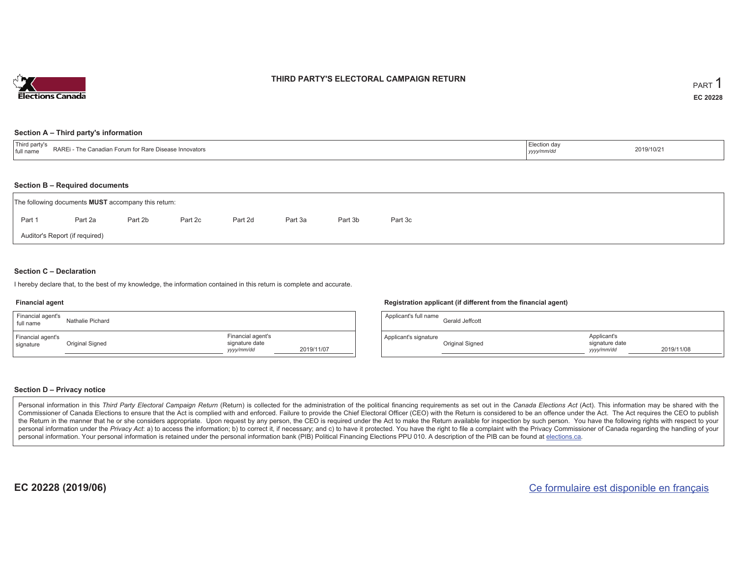

### **THIRD PARTY'S ELECTORAL CAMPAIGN RETURN**

#### **Section A – Third party's information**

| .<br><b>RAREi</b><br>he Canadian Forum for Rare Disease Innovators<br>$\cdot$ - The Compact $\cdot$<br>±full name | ∟lection dav<br>yyyymm/ac | 2019/10/21 |
|-------------------------------------------------------------------------------------------------------------------|---------------------------|------------|
|-------------------------------------------------------------------------------------------------------------------|---------------------------|------------|

#### **Section B – Required documents**

|        | The following documents <b>MUST</b> accompany this return: |         |         |         |         |         |         |
|--------|------------------------------------------------------------|---------|---------|---------|---------|---------|---------|
| Part 1 | Part 2a                                                    | Part 2b | Part 2c | Part 2d | Part 3a | Part 3b | Part 3c |
|        | Auditor's Report (if required)                             |         |         |         |         |         |         |

### **Section C – Declaration**

I hereby declare that, to the best of my knowledge, the information contained in this return is complete and accurate.

#### **Financial agent**

| Financial agent's<br>full name | Nathalie Pichard |                                                   |            |
|--------------------------------|------------------|---------------------------------------------------|------------|
| Financial agent's<br>signature | Original Signed  | Financial agent's<br>signature date<br>yyyy/mm/dd | 2019/11/07 |

### **Registration applicant (if different from the financial agent)**

| Applicant's full name | Gerald Jeffcott |                                             |            |
|-----------------------|-----------------|---------------------------------------------|------------|
| Applicant's signature | Original Signed | Applicant's<br>signature date<br>yyyy/mm/dd | 2019/11/08 |

#### **Section D – Privacy notice**

Personal information in this Third Party Electoral Campaign Return (Return) is collected for the administration of the political financing requirements as set out in the Canada Elections Act (Act). This information may be Commissioner of Canada Elections to ensure that the Act is complied with and enforced. Failure to provide the Chief Electoral Officer (CEO) with the Return is considered to be an offence under the Act. The Act requires the the Return in the manner that he or she considers appropriate. Upon request by any person, the CEO is required under the Act to make the Return available for inspection by such person. You have the following rights with re personal information under the Privacy Act: a) to access the information; b) to correct it, if necessary; and c) to have it protected. You have the right to file a complaint with the Privacy Commissioner of Canada regardin personal information. Your personal information is retained under the personal information bank (PIB) Political Financing Elections PPU 010. A description of the PIB can be found at elections.ca.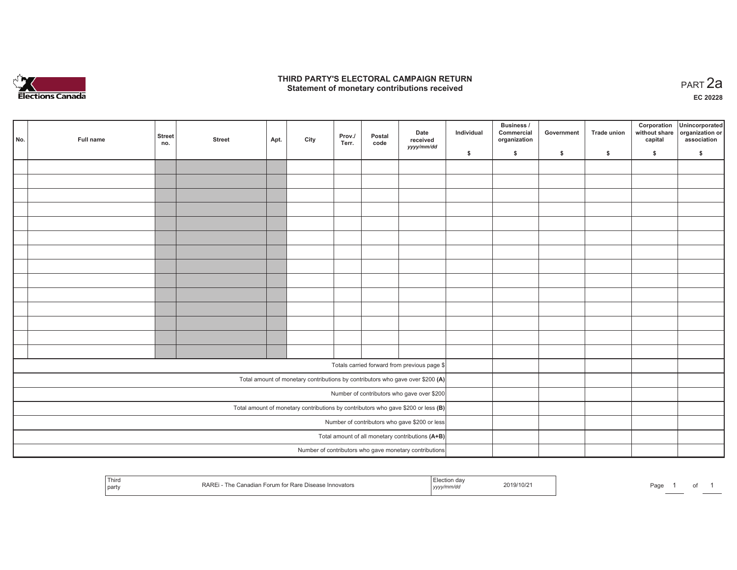

## **THIRD PARTY'S ELECTORAL CAMPAIGN RETURN HIRD PARTY'S ELECTORAL CAMPAIGN RETURN<br>Statement of monetary contributions received PART 2a**

**EC 20228**

| No. | Full name | <b>Street</b><br>no. | <b>Street</b> | Apt. | City | Prov./<br>Terr. | Postal<br>code | Date<br>received<br>yyyy/mm/dd                                                      | Individual | Business /<br>Commercial<br>organization | Government | Trade union | Corporation<br>without share<br>capital | Unincorporated<br>organization or<br>association |
|-----|-----------|----------------------|---------------|------|------|-----------------|----------------|-------------------------------------------------------------------------------------|------------|------------------------------------------|------------|-------------|-----------------------------------------|--------------------------------------------------|
|     |           |                      |               |      |      |                 |                |                                                                                     | \$         | \$                                       | \$         | \$          | \$                                      | \$                                               |
|     |           |                      |               |      |      |                 |                |                                                                                     |            |                                          |            |             |                                         |                                                  |
|     |           |                      |               |      |      |                 |                |                                                                                     |            |                                          |            |             |                                         |                                                  |
|     |           |                      |               |      |      |                 |                |                                                                                     |            |                                          |            |             |                                         |                                                  |
|     |           |                      |               |      |      |                 |                |                                                                                     |            |                                          |            |             |                                         |                                                  |
|     |           |                      |               |      |      |                 |                |                                                                                     |            |                                          |            |             |                                         |                                                  |
|     |           |                      |               |      |      |                 |                |                                                                                     |            |                                          |            |             |                                         |                                                  |
|     |           |                      |               |      |      |                 |                |                                                                                     |            |                                          |            |             |                                         |                                                  |
|     |           |                      |               |      |      |                 |                |                                                                                     |            |                                          |            |             |                                         |                                                  |
|     |           |                      |               |      |      |                 |                |                                                                                     |            |                                          |            |             |                                         |                                                  |
|     |           |                      |               |      |      |                 |                |                                                                                     |            |                                          |            |             |                                         |                                                  |
|     |           |                      |               |      |      |                 |                |                                                                                     |            |                                          |            |             |                                         |                                                  |
|     |           |                      |               |      |      |                 |                |                                                                                     |            |                                          |            |             |                                         |                                                  |
|     |           |                      |               |      |      |                 |                |                                                                                     |            |                                          |            |             |                                         |                                                  |
|     |           |                      |               |      |      |                 |                |                                                                                     |            |                                          |            |             |                                         |                                                  |
|     |           |                      |               |      |      |                 |                | Totals carried forward from previous page \$                                        |            |                                          |            |             |                                         |                                                  |
|     |           |                      |               |      |      |                 |                | Total amount of monetary contributions by contributors who gave over \$200 (A)      |            |                                          |            |             |                                         |                                                  |
|     |           |                      |               |      |      |                 |                | Number of contributors who gave over \$200                                          |            |                                          |            |             |                                         |                                                  |
|     |           |                      |               |      |      |                 |                | Total amount of monetary contributions by contributors who gave \$200 or less $(B)$ |            |                                          |            |             |                                         |                                                  |
|     |           |                      |               |      |      |                 |                | Number of contributors who gave \$200 or less                                       |            |                                          |            |             |                                         |                                                  |
|     |           |                      |               |      |      |                 |                | Total amount of all monetary contributions (A+B)                                    |            |                                          |            |             |                                         |                                                  |
|     |           |                      |               |      |      |                 |                | Number of contributors who gave monetary contributions                              |            |                                          |            |             |                                         |                                                  |

| Third | : Rare Disease<br>$\sim$ - orum for $\sim$<br>าnovators<br>1 <i>y y y y</i> | 2019/10/2<br> | Pag. |  | $\cdot$ |  |
|-------|-----------------------------------------------------------------------------|---------------|------|--|---------|--|
|-------|-----------------------------------------------------------------------------|---------------|------|--|---------|--|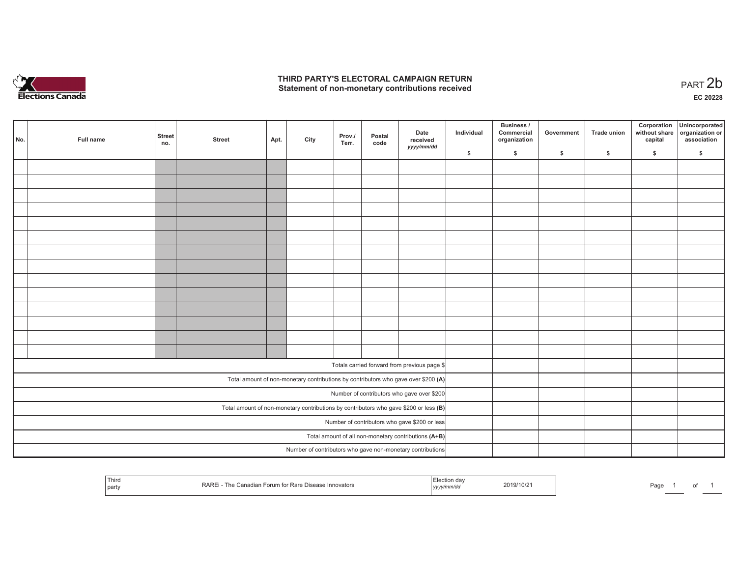

## **THIRD PARTY'S ELECTORAL CAMPAIGN RETURN**  THIRD PARTY'S ELECTORAL CAMPAIGN RETURN<br>Statement of non-monetary contributions received<br> **PART 2b**

| No. | Full name | <b>Street</b><br>no. | <b>Street</b> | Apt. | City | Prov./<br>Terr. | Postal<br>code | Date<br>received<br>yyyy/mm/dd                                                          | Individual | <b>Business /</b><br>Commercial<br>organization | Government   | Trade union  | Corporation<br>without share<br>capital | Unincorporated<br>organization or<br>association |
|-----|-----------|----------------------|---------------|------|------|-----------------|----------------|-----------------------------------------------------------------------------------------|------------|-------------------------------------------------|--------------|--------------|-----------------------------------------|--------------------------------------------------|
|     |           |                      |               |      |      |                 |                |                                                                                         | \$         | \$                                              | $\mathsf{s}$ | $\mathbf{s}$ | \$                                      | \$                                               |
|     |           |                      |               |      |      |                 |                |                                                                                         |            |                                                 |              |              |                                         |                                                  |
|     |           |                      |               |      |      |                 |                |                                                                                         |            |                                                 |              |              |                                         |                                                  |
|     |           |                      |               |      |      |                 |                |                                                                                         |            |                                                 |              |              |                                         |                                                  |
|     |           |                      |               |      |      |                 |                |                                                                                         |            |                                                 |              |              |                                         |                                                  |
|     |           |                      |               |      |      |                 |                |                                                                                         |            |                                                 |              |              |                                         |                                                  |
|     |           |                      |               |      |      |                 |                |                                                                                         |            |                                                 |              |              |                                         |                                                  |
|     |           |                      |               |      |      |                 |                |                                                                                         |            |                                                 |              |              |                                         |                                                  |
|     |           |                      |               |      |      |                 |                |                                                                                         |            |                                                 |              |              |                                         |                                                  |
|     |           |                      |               |      |      |                 |                |                                                                                         |            |                                                 |              |              |                                         |                                                  |
|     |           |                      |               |      |      |                 |                |                                                                                         |            |                                                 |              |              |                                         |                                                  |
|     |           |                      |               |      |      |                 |                |                                                                                         |            |                                                 |              |              |                                         |                                                  |
|     |           |                      |               |      |      |                 |                |                                                                                         |            |                                                 |              |              |                                         |                                                  |
|     |           |                      |               |      |      |                 |                |                                                                                         |            |                                                 |              |              |                                         |                                                  |
|     |           |                      |               |      |      |                 |                |                                                                                         |            |                                                 |              |              |                                         |                                                  |
|     |           |                      |               |      |      |                 |                |                                                                                         |            |                                                 |              |              |                                         |                                                  |
|     |           |                      |               |      |      |                 |                | Totals carried forward from previous page \$                                            |            |                                                 |              |              |                                         |                                                  |
|     |           |                      |               |      |      |                 |                | Total amount of non-monetary contributions by contributors who gave over \$200 (A)      |            |                                                 |              |              |                                         |                                                  |
|     |           |                      |               |      |      |                 |                | Number of contributors who gave over \$200                                              |            |                                                 |              |              |                                         |                                                  |
|     |           |                      |               |      |      |                 |                | Total amount of non-monetary contributions by contributors who gave \$200 or less $(B)$ |            |                                                 |              |              |                                         |                                                  |
|     |           |                      |               |      |      |                 |                | Number of contributors who gave \$200 or less                                           |            |                                                 |              |              |                                         |                                                  |
|     |           |                      |               |      |      |                 |                | Total amount of all non-monetary contributions (A+B)                                    |            |                                                 |              |              |                                         |                                                  |
|     |           |                      |               |      |      |                 |                | Number of contributors who gave non-monetary contributions                              |            |                                                 |              |              |                                         |                                                  |
|     |           |                      |               |      |      |                 |                |                                                                                         |            |                                                 |              |              |                                         |                                                  |

| Third<br>a Dienne<br>anadian Forum for Rare [<br>RARI<br>sease Innovators<br>  party | ua:<br>2019/10/2<br>,,,, | Page |
|--------------------------------------------------------------------------------------|--------------------------|------|
|--------------------------------------------------------------------------------------|--------------------------|------|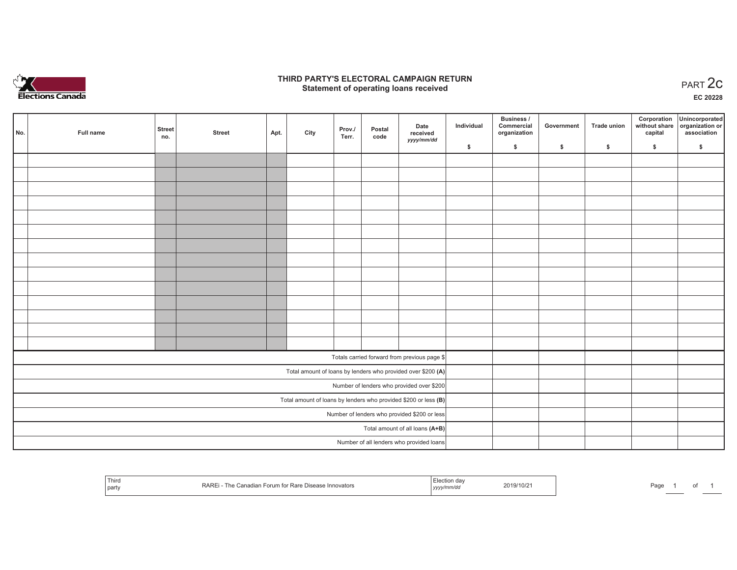

## **THIRD PARTY'S ELECTORAL CAMPAIGN RETURN STATE:** PARTY'S ELECTORAL CAMPAIGN RETURN<br>
Statement of operating loans received

**EC 20228**

| No. | Full name | <b>Street</b><br>no. | <b>Street</b> | Apt. | City | Prov./<br>Terr. | Postal<br>code | Date<br>received<br>yyyy/mm/dd                                  | Individual | <b>Business /</b><br>Commercial<br>organization | Government | <b>Trade union</b> | Corporation<br>capital | Unincorporated<br>without share organization or<br>association |
|-----|-----------|----------------------|---------------|------|------|-----------------|----------------|-----------------------------------------------------------------|------------|-------------------------------------------------|------------|--------------------|------------------------|----------------------------------------------------------------|
|     |           |                      |               |      |      |                 |                |                                                                 | \$         | \$                                              | \$         | \$                 | \$                     | \$                                                             |
|     |           |                      |               |      |      |                 |                |                                                                 |            |                                                 |            |                    |                        |                                                                |
|     |           |                      |               |      |      |                 |                |                                                                 |            |                                                 |            |                    |                        |                                                                |
|     |           |                      |               |      |      |                 |                |                                                                 |            |                                                 |            |                    |                        |                                                                |
|     |           |                      |               |      |      |                 |                |                                                                 |            |                                                 |            |                    |                        |                                                                |
|     |           |                      |               |      |      |                 |                |                                                                 |            |                                                 |            |                    |                        |                                                                |
|     |           |                      |               |      |      |                 |                |                                                                 |            |                                                 |            |                    |                        |                                                                |
|     |           |                      |               |      |      |                 |                |                                                                 |            |                                                 |            |                    |                        |                                                                |
|     |           |                      |               |      |      |                 |                |                                                                 |            |                                                 |            |                    |                        |                                                                |
|     |           |                      |               |      |      |                 |                |                                                                 |            |                                                 |            |                    |                        |                                                                |
|     |           |                      |               |      |      |                 |                |                                                                 |            |                                                 |            |                    |                        |                                                                |
|     |           |                      |               |      |      |                 |                |                                                                 |            |                                                 |            |                    |                        |                                                                |
|     |           |                      |               |      |      |                 |                |                                                                 |            |                                                 |            |                    |                        |                                                                |
|     |           |                      |               |      |      |                 |                |                                                                 |            |                                                 |            |                    |                        |                                                                |
|     |           |                      |               |      |      |                 |                |                                                                 |            |                                                 |            |                    |                        |                                                                |
|     |           |                      |               |      |      |                 |                | Totals carried forward from previous page \$                    |            |                                                 |            |                    |                        |                                                                |
|     |           |                      |               |      |      |                 |                | Total amount of loans by lenders who provided over \$200 (A)    |            |                                                 |            |                    |                        |                                                                |
|     |           |                      |               |      |      |                 |                | Number of lenders who provided over \$200                       |            |                                                 |            |                    |                        |                                                                |
|     |           |                      |               |      |      |                 |                | Total amount of loans by lenders who provided \$200 or less (B) |            |                                                 |            |                    |                        |                                                                |
|     |           |                      |               |      |      |                 |                | Number of lenders who provided \$200 or less                    |            |                                                 |            |                    |                        |                                                                |
|     |           |                      |               |      |      |                 |                | Total amount of all loans (A+B)                                 |            |                                                 |            |                    |                        |                                                                |
|     |           |                      |               |      |      |                 |                | Number of all lenders who provided loans                        |            |                                                 |            |                    |                        |                                                                |

| Third<br><b>RAR</b><br>r Rare<br>$\mathbf{m}$<br>e Innovators<br>l part<br>,,,,, | $\sim$<br>aut<br>ັ |
|----------------------------------------------------------------------------------|--------------------|
|----------------------------------------------------------------------------------|--------------------|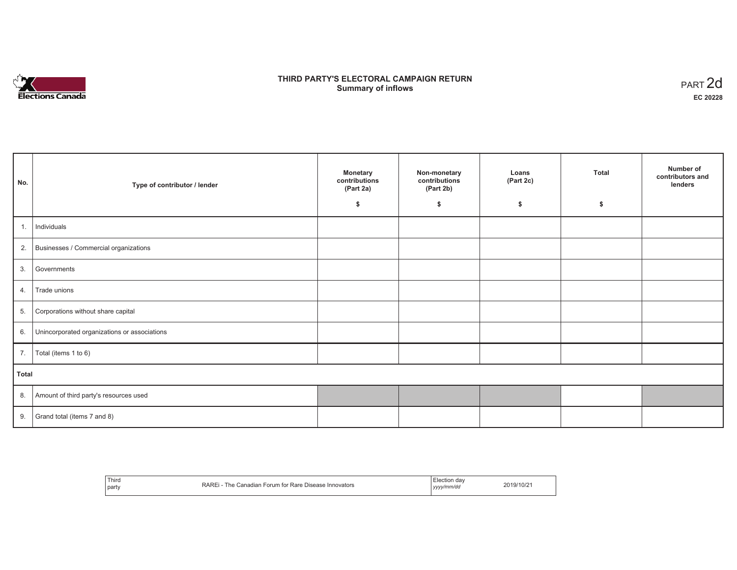

# **THIRD PARTY'S ELECTORAL CAMPAIGN RETURN S** ELECTORAL CAMPAIGN RETURN<br>Summary of inflows PART 2d

| No.   | Type of contributor / lender                    | <b>Monetary</b><br>contributions<br>(Part 2a) | Non-monetary<br>contributions<br>(Part 2b) | Loans<br>(Part 2c) | <b>Total</b> | Number of<br>contributors and<br>lenders |
|-------|-------------------------------------------------|-----------------------------------------------|--------------------------------------------|--------------------|--------------|------------------------------------------|
|       |                                                 | \$                                            | \$                                         | \$                 | \$           |                                          |
| 1.    | Individuals                                     |                                               |                                            |                    |              |                                          |
|       | 2. Businesses / Commercial organizations        |                                               |                                            |                    |              |                                          |
| 3.    | Governments                                     |                                               |                                            |                    |              |                                          |
| 4.    | Trade unions                                    |                                               |                                            |                    |              |                                          |
| 5.    | Corporations without share capital              |                                               |                                            |                    |              |                                          |
|       | 6. Unincorporated organizations or associations |                                               |                                            |                    |              |                                          |
|       | 7. $\boxed{\text{Total (items 1 to 6)}}$        |                                               |                                            |                    |              |                                          |
| Total |                                                 |                                               |                                            |                    |              |                                          |
|       | 8. Amount of third party's resources used       |                                               |                                            |                    |              |                                          |
|       | 9. Grand total (items $7$ and $8$ )             |                                               |                                            |                    |              |                                          |

| Third<br>party | <b>RARE</b><br>The<br>Canadian Forum for Rare Disease Innovators | Election dav<br>yyyy/mm/dd | 2019/10/21 |
|----------------|------------------------------------------------------------------|----------------------------|------------|
|----------------|------------------------------------------------------------------|----------------------------|------------|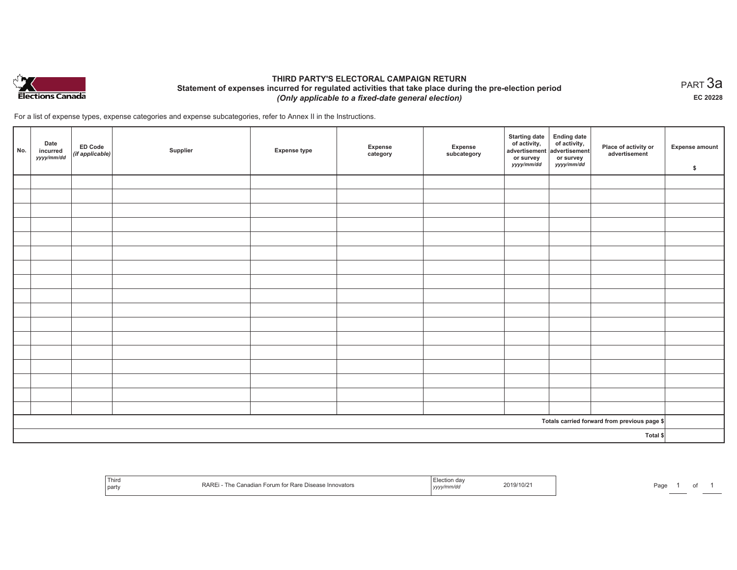

## **THIRD PARTY'S ELECTORAL CAMPAIGN RETURN Statement of expenses incurred for regulated activities that take place during the pre-election period**  *(Only applicable to a fixed-date general election)*

For a list of expense types, expense categories and expense subcategories, refer to Annex II in the Instructions.

| No.                                          | Date<br>incurred<br>yyyy/mm/dd | <b>ED Code</b><br>$($ if applicable $)$ | Supplier | <b>Expense type</b> | Expense<br>category | Expense<br>subcategory | <b>Starting date</b><br>of activity,<br>advertisement<br>or survey<br>yyyy/mm/dd | Ending date<br>of activity,<br>advertisement<br>or survey<br>yyyy/mm/dd | Place of activity or<br>advertisement | Expense amount<br>\$ |
|----------------------------------------------|--------------------------------|-----------------------------------------|----------|---------------------|---------------------|------------------------|----------------------------------------------------------------------------------|-------------------------------------------------------------------------|---------------------------------------|----------------------|
|                                              |                                |                                         |          |                     |                     |                        |                                                                                  |                                                                         |                                       |                      |
|                                              |                                |                                         |          |                     |                     |                        |                                                                                  |                                                                         |                                       |                      |
|                                              |                                |                                         |          |                     |                     |                        |                                                                                  |                                                                         |                                       |                      |
|                                              |                                |                                         |          |                     |                     |                        |                                                                                  |                                                                         |                                       |                      |
|                                              |                                |                                         |          |                     |                     |                        |                                                                                  |                                                                         |                                       |                      |
|                                              |                                |                                         |          |                     |                     |                        |                                                                                  |                                                                         |                                       |                      |
|                                              |                                |                                         |          |                     |                     |                        |                                                                                  |                                                                         |                                       |                      |
|                                              |                                |                                         |          |                     |                     |                        |                                                                                  |                                                                         |                                       |                      |
|                                              |                                |                                         |          |                     |                     |                        |                                                                                  |                                                                         |                                       |                      |
|                                              |                                |                                         |          |                     |                     |                        |                                                                                  |                                                                         |                                       |                      |
|                                              |                                |                                         |          |                     |                     |                        |                                                                                  |                                                                         |                                       |                      |
|                                              |                                |                                         |          |                     |                     |                        |                                                                                  |                                                                         |                                       |                      |
|                                              |                                |                                         |          |                     |                     |                        |                                                                                  |                                                                         |                                       |                      |
|                                              |                                |                                         |          |                     |                     |                        |                                                                                  |                                                                         |                                       |                      |
|                                              |                                |                                         |          |                     |                     |                        |                                                                                  |                                                                         |                                       |                      |
|                                              |                                |                                         |          |                     |                     |                        |                                                                                  |                                                                         |                                       |                      |
|                                              |                                |                                         |          |                     |                     |                        |                                                                                  |                                                                         |                                       |                      |
| Totals carried forward from previous page \$ |                                |                                         |          |                     |                     |                        |                                                                                  |                                                                         |                                       |                      |
| Total \$                                     |                                |                                         |          |                     |                     |                        |                                                                                  |                                                                         |                                       |                      |

| ' Third<br><b>RARE</b><br>Canadian Forum for Rare Disease Innovators<br>∣ne.<br>  part | on da<br>2019/10/21<br>.<br>yyyy/mm/dd | Pag |
|----------------------------------------------------------------------------------------|----------------------------------------|-----|
|----------------------------------------------------------------------------------------|----------------------------------------|-----|

 $_{\sf PART}$ 3a **EC 20228**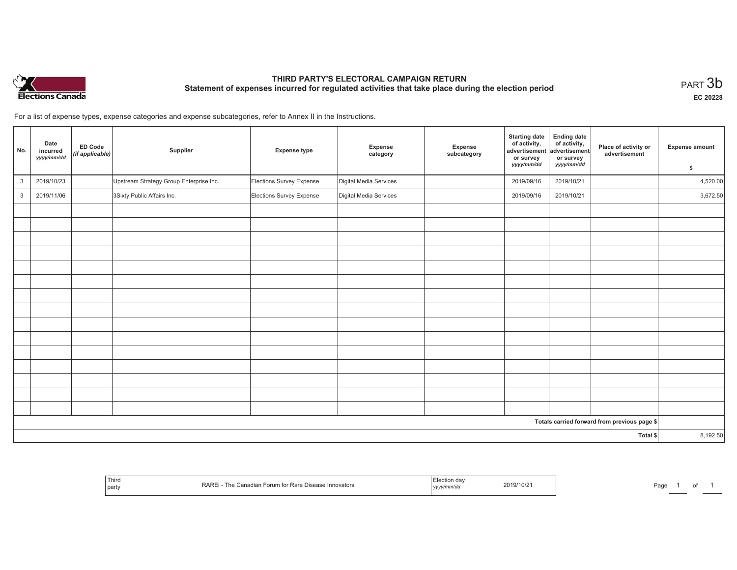

# **THIRD PARTY'S ELECTORAL CAMPAIGN RETURN Statement of expenses incurred for regulated activities that take place during the election period**<br>PART  $3\mathsf{b}$

**EC 20228**

For a list of expense types, expense categories and expense subcategories, refer to Annex II in the Instructions.

| No.          | Date<br>incurred<br>yyyy/mm/dd | ED Code<br>(if applicable) | Supplier                                | <b>Expense type</b>      | Expense<br>category    | <b>Expense</b><br>subcategory | <b>Starting date</b><br>of activity,<br>advertisement<br>or survey | <b>Ending date</b><br>of activity,<br>advertisement<br>or survey | Place of activity or<br>advertisement        | <b>Expense amount</b> |
|--------------|--------------------------------|----------------------------|-----------------------------------------|--------------------------|------------------------|-------------------------------|--------------------------------------------------------------------|------------------------------------------------------------------|----------------------------------------------|-----------------------|
|              |                                |                            |                                         |                          |                        |                               | yyyy/mm/dd                                                         | yyyy/mm/dd                                                       |                                              | \$                    |
| $\mathbf{3}$ | 2019/10/23                     |                            | Upstream Strategy Group Enterprise Inc. | Elections Survey Expense | Digital Media Services |                               | 2019/09/16                                                         | 2019/10/21                                                       |                                              | 4,520.00              |
| $\mathbf{3}$ | 2019/11/06                     |                            | 3Sixty Public Affairs Inc.              | Elections Survey Expense | Digital Media Services |                               | 2019/09/16                                                         | 2019/10/21                                                       |                                              | 3,672.50              |
|              |                                |                            |                                         |                          |                        |                               |                                                                    |                                                                  |                                              |                       |
|              |                                |                            |                                         |                          |                        |                               |                                                                    |                                                                  |                                              |                       |
|              |                                |                            |                                         |                          |                        |                               |                                                                    |                                                                  |                                              |                       |
|              |                                |                            |                                         |                          |                        |                               |                                                                    |                                                                  |                                              |                       |
|              |                                |                            |                                         |                          |                        |                               |                                                                    |                                                                  |                                              |                       |
|              |                                |                            |                                         |                          |                        |                               |                                                                    |                                                                  |                                              |                       |
|              |                                |                            |                                         |                          |                        |                               |                                                                    |                                                                  |                                              |                       |
|              |                                |                            |                                         |                          |                        |                               |                                                                    |                                                                  |                                              |                       |
|              |                                |                            |                                         |                          |                        |                               |                                                                    |                                                                  |                                              |                       |
|              |                                |                            |                                         |                          |                        |                               |                                                                    |                                                                  |                                              |                       |
|              |                                |                            |                                         |                          |                        |                               |                                                                    |                                                                  |                                              |                       |
|              |                                |                            |                                         |                          |                        |                               |                                                                    |                                                                  |                                              |                       |
|              |                                |                            |                                         |                          |                        |                               |                                                                    |                                                                  |                                              |                       |
|              |                                |                            |                                         |                          |                        |                               |                                                                    |                                                                  |                                              |                       |
|              |                                |                            |                                         |                          |                        |                               |                                                                    |                                                                  |                                              |                       |
|              |                                |                            |                                         |                          |                        |                               |                                                                    |                                                                  | Totals carried forward from previous page \$ |                       |
| Total \$     |                                |                            |                                         |                          |                        |                               | 8,192.50                                                           |                                                                  |                                              |                       |

| Third<br>party | RARL<br>$+ - -$<br>↑ Innovators<br><b>UISEASE</b><br>' Ra | ,,,,, | 2019/10/2 | Pag |  |
|----------------|-----------------------------------------------------------|-------|-----------|-----|--|
|----------------|-----------------------------------------------------------|-------|-----------|-----|--|